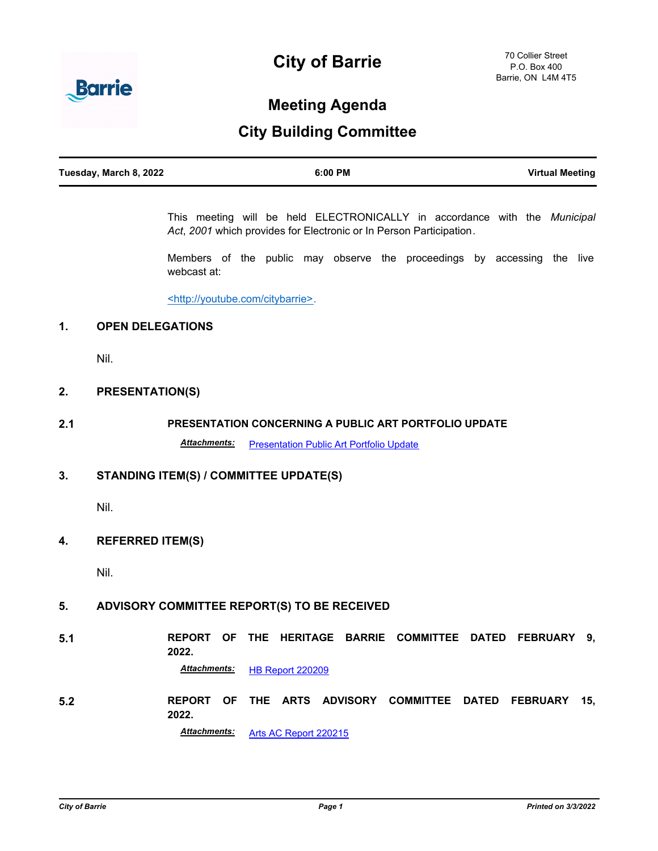# **City of Barrie**



## **Meeting Agenda**

### **City Building Committee**

| Tuesday, March 8, 2022 | 6:00 PM | <b>Virtual Meeting</b> |
|------------------------|---------|------------------------|
|                        |         |                        |

This meeting will be held ELECTRONICALLY in accordance with the *Municipal Act*, *2001* which provides for Electronic or In Person Participation*.*

Members of the public may observe the proceedings by accessing the live webcast at:

<http://youtube.com/citybarrie>.

#### **1. OPEN DELEGATIONS**

Nil.

#### **2. PRESENTATION(S)**

#### **2.1 PRESENTATION CONCERNING A PUBLIC ART PORTFOLIO UPDATE**

Attachments: [Presentation Public Art Portfolio Update](http://barrie.ca.legistar.com/gateway.aspx?M=F&ID=20f006fa-de9d-40f3-8e76-f90283305249.pdf)

#### **3. STANDING ITEM(S) / COMMITTEE UPDATE(S)**

Nil.

#### **4. REFERRED ITEM(S)**

Nil.

#### **5. ADVISORY COMMITTEE REPORT(S) TO BE RECEIVED**

**5.1 REPORT OF THE HERITAGE BARRIE COMMITTEE DATED FEBRUARY 9, 2022.** *Attachments:* [HB Report 220209](http://barrie.ca.legistar.com/gateway.aspx?M=F&ID=7e96ed86-c9c8-4970-8049-41df266e8661.pdf)

**5.2 REPORT OF THE ARTS ADVISORY COMMITTEE DATED FEBRUARY 15, 2022.**

*Attachments:* [Arts AC Report 220215](http://barrie.ca.legistar.com/gateway.aspx?M=F&ID=fd6232b7-d51d-4d4c-95ee-81c381471ea3.pdf)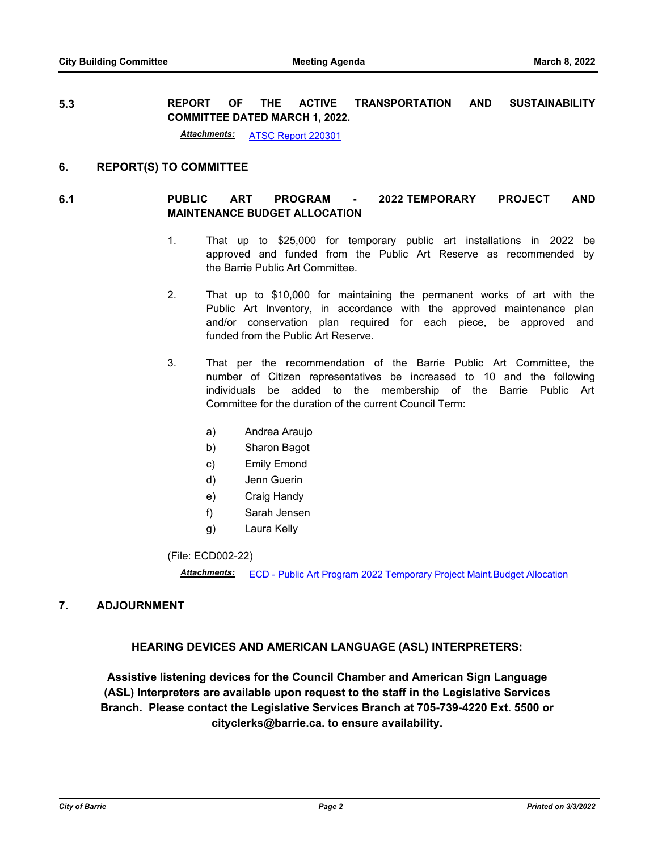**5.3 REPORT OF THE ACTIVE TRANSPORTATION AND SUSTAINABILITY COMMITTEE DATED MARCH 1, 2022.**

*Attachments:* [ATSC Report 220301](http://barrie.ca.legistar.com/gateway.aspx?M=F&ID=5c12d1dc-cec1-4166-9bd6-370937a19939.pdf)

#### **6. REPORT(S) TO COMMITTEE**

#### **6.1 PUBLIC ART PROGRAM - 2022 TEMPORARY PROJECT AND MAINTENANCE BUDGET ALLOCATION**

- 1. That up to \$25,000 for temporary public art installations in 2022 be approved and funded from the Public Art Reserve as recommended by the Barrie Public Art Committee.
- 2. That up to \$10,000 for maintaining the permanent works of art with the Public Art Inventory, in accordance with the approved maintenance plan and/or conservation plan required for each piece, be approved and funded from the Public Art Reserve.
- 3. That per the recommendation of the Barrie Public Art Committee, the number of Citizen representatives be increased to 10 and the following individuals be added to the membership of the Barrie Public Art Committee for the duration of the current Council Term:
	- a) Andrea Araujo
	- b) Sharon Bagot
	- c) Emily Emond
	- d) Jenn Guerin
	- e) Craig Handy
	- f) Sarah Jensen
	- g) Laura Kelly

(File: ECD002-22)

*Attachments:* [ECD - Public Art Program 2022 Temporary Project Maint.Budget Allocation](http://barrie.ca.legistar.com/gateway.aspx?M=F&ID=c516f402-ad3d-4212-93eb-7102e64fc295.pdf)

#### **7. ADJOURNMENT**

#### **HEARING DEVICES AND AMERICAN LANGUAGE (ASL) INTERPRETERS:**

**Assistive listening devices for the Council Chamber and American Sign Language (ASL) Interpreters are available upon request to the staff in the Legislative Services Branch. Please contact the Legislative Services Branch at 705-739-4220 Ext. 5500 or cityclerks@barrie.ca. to ensure availability.**